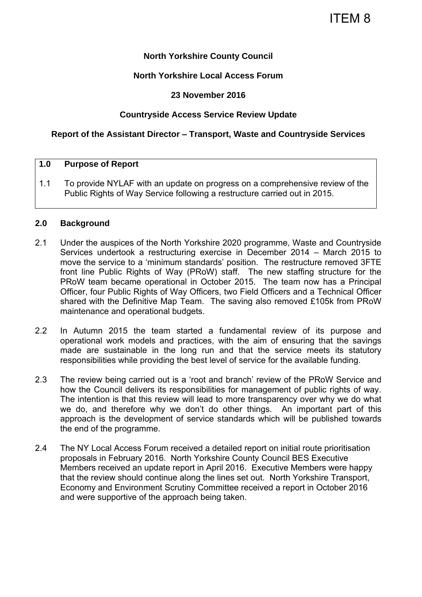### **North Yorkshire County Council**

#### **North Yorkshire Local Access Forum**

#### **23 November 2016**

#### **Countryside Access Service Review Update**

#### **Report of the Assistant Director – Transport, Waste and Countryside Services**

#### **1.0 Purpose of Report**

1.1 To provide NYLAF with an update on progress on a comprehensive review of the Public Rights of Way Service following a restructure carried out in 2015.

#### **2.0 Background**

- 2.1 Under the auspices of the North Yorkshire 2020 programme, Waste and Countryside Services undertook a restructuring exercise in December 2014 – March 2015 to move the service to a 'minimum standards' position. The restructure removed 3FTE front line Public Rights of Way (PRoW) staff. The new staffing structure for the PRoW team became operational in October 2015. The team now has a Principal Officer, four Public Rights of Way Officers, two Field Officers and a Technical Officer shared with the Definitive Map Team. The saving also removed £105k from PRoW maintenance and operational budgets.
- 2.2 In Autumn 2015 the team started a fundamental review of its purpose and operational work models and practices, with the aim of ensuring that the savings made are sustainable in the long run and that the service meets its statutory responsibilities while providing the best level of service for the available funding.
- 2.3 The review being carried out is a 'root and branch' review of the PRoW Service and how the Council delivers its responsibilities for management of public rights of way. The intention is that this review will lead to more transparency over why we do what we do, and therefore why we don't do other things. An important part of this approach is the development of service standards which will be published towards the end of the programme.
- 2.4 The NY Local Access Forum received a detailed report on initial route prioritisation proposals in February 2016. North Yorkshire County Council BES Executive Members received an update report in April 2016. Executive Members were happy that the review should continue along the lines set out. North Yorkshire Transport, Economy and Environment Scrutiny Committee received a report in October 2016 and were supportive of the approach being taken.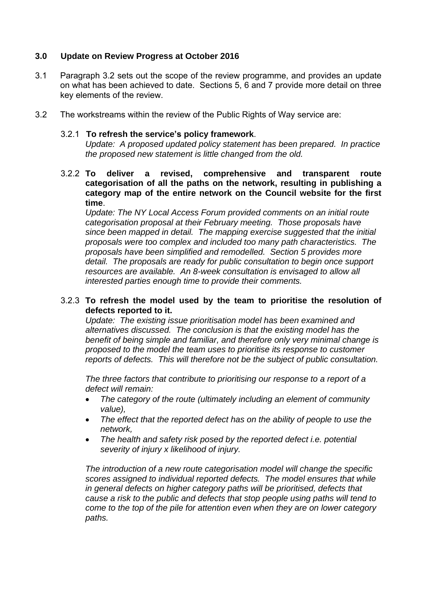## **3.0 Update on Review Progress at October 2016**

- 3.1 Paragraph 3.2 sets out the scope of the review programme, and provides an update on what has been achieved to date. Sections 5, 6 and 7 provide more detail on three key elements of the review.
- 3.2 The workstreams within the review of the Public Rights of Way service are:

#### 3.2.1 **To refresh the service's policy framework**.

*Update: A proposed updated policy statement has been prepared. In practice the proposed new statement is little changed from the old.* 

3.2.2 **To deliver a revised, comprehensive and transparent route categorisation of all the paths on the network, resulting in publishing a category map of the entire network on the Council website for the first time**.

*Update: The NY Local Access Forum provided comments on an initial route categorisation proposal at their February meeting. Those proposals have since been mapped in detail. The mapping exercise suggested that the initial proposals were too complex and included too many path characteristics. The proposals have been simplified and remodelled. Section 5 provides more detail. The proposals are ready for public consultation to begin once support*  resources are available. An 8-week consultation is envisaged to allow all *interested parties enough time to provide their comments.* 

#### 3.2.3 **To refresh the model used by the team to prioritise the resolution of defects reported to it.**

*Update: The existing issue prioritisation model has been examined and alternatives discussed. The conclusion is that the existing model has the benefit of being simple and familiar, and therefore only very minimal change is proposed to the model the team uses to prioritise its response to customer reports of defects. This will therefore not be the subject of public consultation.* 

*The three factors that contribute to prioritising our response to a report of a defect will remain:* 

- *The category of the route (ultimately including an element of community value),*
- *The effect that the reported defect has on the ability of people to use the network,*
- *The health and safety risk posed by the reported defect i.e. potential severity of injury x likelihood of injury.*

*The introduction of a new route categorisation model will change the specific scores assigned to individual reported defects. The model ensures that while in general defects on higher category paths will be prioritised, defects that cause a risk to the public and defects that stop people using paths will tend to come to the top of the pile for attention even when they are on lower category paths.*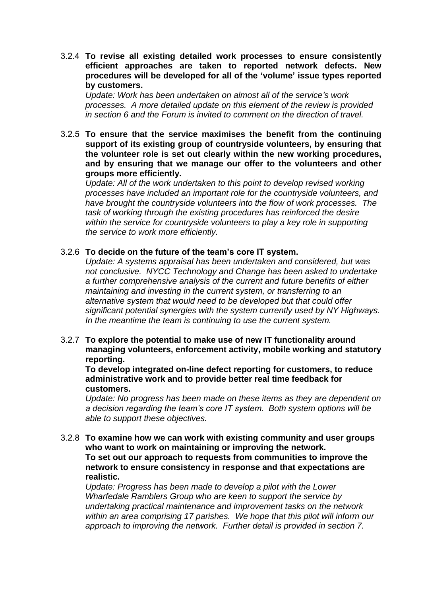3.2.4 **To revise all existing detailed work processes to ensure consistently efficient approaches are taken to reported network defects. New procedures will be developed for all of the 'volume' issue types reported by customers.** 

*Update: Work has been undertaken on almost all of the service's work processes. A more detailed update on this element of the review is provided in section 6 and the Forum is invited to comment on the direction of travel.* 

3.2.5 **To ensure that the service maximises the benefit from the continuing support of its existing group of countryside volunteers, by ensuring that the volunteer role is set out clearly within the new working procedures, and by ensuring that we manage our offer to the volunteers and other groups more efficiently.** 

*Update: All of the work undertaken to this point to develop revised working processes have included an important role for the countryside volunteers, and have brought the countryside volunteers into the flow of work processes. The task of working through the existing procedures has reinforced the desire*  within the service for countryside volunteers to play a key role in supporting *the service to work more efficiently.* 

#### 3.2.6 **To decide on the future of the team's core IT system.**

*Update: A systems appraisal has been undertaken and considered, but was not conclusive. NYCC Technology and Change has been asked to undertake a further comprehensive analysis of the current and future benefits of either maintaining and investing in the current system, or transferring to an alternative system that would need to be developed but that could offer significant potential synergies with the system currently used by NY Highways. In the meantime the team is continuing to use the current system.* 

3.2.7 **To explore the potential to make use of new IT functionality around managing volunteers, enforcement activity, mobile working and statutory reporting.** 

**To develop integrated on-line defect reporting for customers, to reduce administrative work and to provide better real time feedback for customers.** 

*Update: No progress has been made on these items as they are dependent on a decision regarding the team's core IT system. Both system options will be able to support these objectives.* 

3.2.8 **To examine how we can work with existing community and user groups who want to work on maintaining or improving the network. To set out our approach to requests from communities to improve the network to ensure consistency in response and that expectations are realistic.** 

*Update: Progress has been made to develop a pilot with the Lower Wharfedale Ramblers Group who are keen to support the service by undertaking practical maintenance and improvement tasks on the network within an area comprising 17 parishes. We hope that this pilot will inform our approach to improving the network. Further detail is provided in section 7.*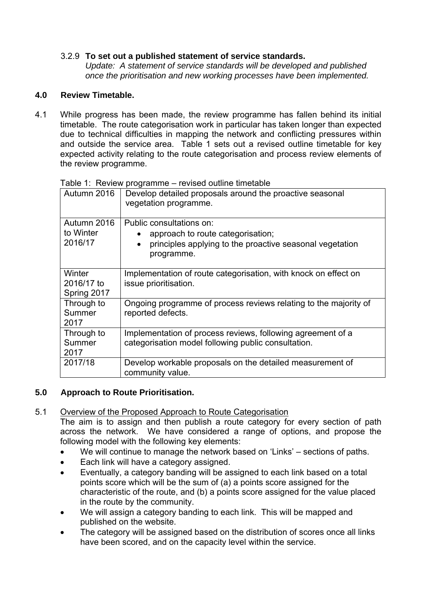## 3.2.9 **To set out a published statement of service standards.**

*Update: A statement of service standards will be developed and published once the prioritisation and new working processes have been implemented.* 

## **4.0 Review Timetable.**

4.1 While progress has been made, the review programme has fallen behind its initial timetable. The route categorisation work in particular has taken longer than expected due to technical difficulties in mapping the network and conflicting pressures within and outside the service area. Table 1 sets out a revised outline timetable for key expected activity relating to the route categorisation and process review elements of the review programme.

| Autumn 2016                         | Develop detailed proposals around the proactive seasonal<br>vegetation programme.                                                       |
|-------------------------------------|-----------------------------------------------------------------------------------------------------------------------------------------|
| Autumn 2016<br>to Winter<br>2016/17 | Public consultations on:<br>approach to route categorisation;<br>principles applying to the proactive seasonal vegetation<br>programme. |
| Winter<br>2016/17 to<br>Spring 2017 | Implementation of route categorisation, with knock on effect on<br>issue prioritisation.                                                |
| Through to<br>Summer<br>2017        | Ongoing programme of process reviews relating to the majority of<br>reported defects.                                                   |
| Through to<br>Summer<br>2017        | Implementation of process reviews, following agreement of a<br>categorisation model following public consultation.                      |
| 2017/18                             | Develop workable proposals on the detailed measurement of<br>community value.                                                           |

Table 1: Review programme – revised outline timetable

# **5.0 Approach to Route Prioritisation.**

5.1 Overview of the Proposed Approach to Route Categorisation

The aim is to assign and then publish a route category for every section of path across the network. We have considered a range of options, and propose the following model with the following key elements:

- We will continue to manage the network based on 'Links' sections of paths.
- Each link will have a category assigned.
- Eventually, a category banding will be assigned to each link based on a total points score which will be the sum of (a) a points score assigned for the characteristic of the route, and (b) a points score assigned for the value placed in the route by the community.
- We will assign a category banding to each link. This will be mapped and published on the website.
- The category will be assigned based on the distribution of scores once all links have been scored, and on the capacity level within the service.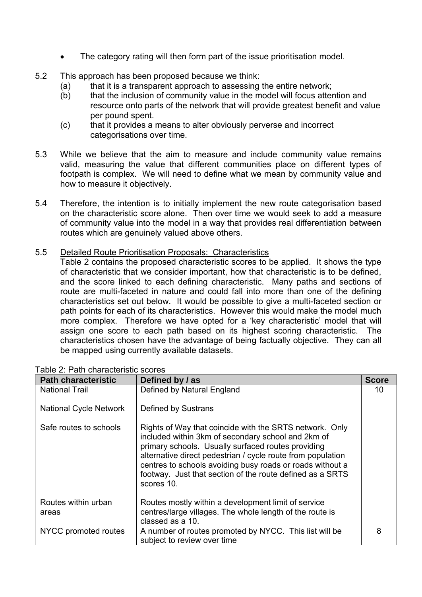- The category rating will then form part of the issue prioritisation model.
- 5.2 This approach has been proposed because we think:
	- (a) that it is a transparent approach to assessing the entire network;
	- (b) that the inclusion of community value in the model will focus attention and resource onto parts of the network that will provide greatest benefit and value per pound spent.
	- (c) that it provides a means to alter obviously perverse and incorrect categorisations over time.
- 5.3 While we believe that the aim to measure and include community value remains valid, measuring the value that different communities place on different types of footpath is complex. We will need to define what we mean by community value and how to measure it objectively.
- 5.4 Therefore, the intention is to initially implement the new route categorisation based on the characteristic score alone. Then over time we would seek to add a measure of community value into the model in a way that provides real differentiation between routes which are genuinely valued above others.
- 5.5 Detailed Route Prioritisation Proposals: Characteristics

Table 2 contains the proposed characteristic scores to be applied. It shows the type of characteristic that we consider important, how that characteristic is to be defined, and the score linked to each defining characteristic. Many paths and sections of route are multi-faceted in nature and could fall into more than one of the defining characteristics set out below. It would be possible to give a multi-faceted section or path points for each of its characteristics. However this would make the model much more complex. Therefore we have opted for a 'key characteristic' model that will assign one score to each path based on its highest scoring characteristic. The characteristics chosen have the advantage of being factually objective. They can all be mapped using currently available datasets.

| <b>Path characteristic</b>    | Defined by / as                                                                                                                                                                                                                                                                                                                                                            | <b>Score</b> |
|-------------------------------|----------------------------------------------------------------------------------------------------------------------------------------------------------------------------------------------------------------------------------------------------------------------------------------------------------------------------------------------------------------------------|--------------|
| <b>National Trail</b>         | Defined by Natural England                                                                                                                                                                                                                                                                                                                                                 | 10           |
| <b>National Cycle Network</b> | Defined by Sustrans                                                                                                                                                                                                                                                                                                                                                        |              |
| Safe routes to schools        | Rights of Way that coincide with the SRTS network. Only<br>included within 3km of secondary school and 2km of<br>primary schools. Usually surfaced routes providing<br>alternative direct pedestrian / cycle route from population<br>centres to schools avoiding busy roads or roads without a<br>footway. Just that section of the route defined as a SRTS<br>scores 10. |              |
| Routes within urban           | Routes mostly within a development limit of service                                                                                                                                                                                                                                                                                                                        |              |
| areas                         | centres/large villages. The whole length of the route is<br>classed as a 10.                                                                                                                                                                                                                                                                                               |              |
| NYCC promoted routes          | A number of routes promoted by NYCC. This list will be<br>subject to review over time                                                                                                                                                                                                                                                                                      | 8            |

Table 2: Path characteristic scores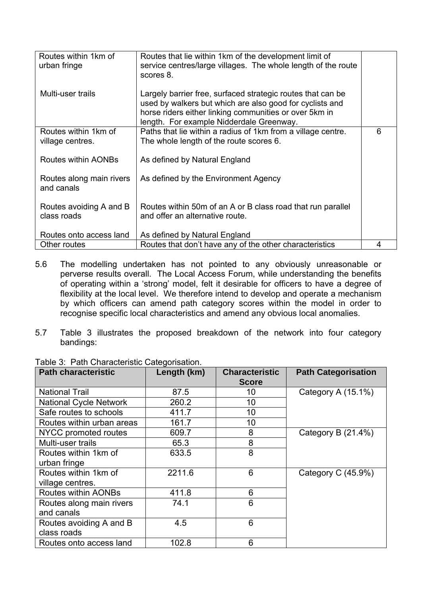| Routes within 1km of<br>urban fringe     | Routes that lie within 1km of the development limit of<br>service centres/large villages. The whole length of the route<br>scores 8.                                                                                          |   |
|------------------------------------------|-------------------------------------------------------------------------------------------------------------------------------------------------------------------------------------------------------------------------------|---|
| Multi-user trails                        | Largely barrier free, surfaced strategic routes that can be<br>used by walkers but which are also good for cyclists and<br>horse riders either linking communities or over 5km in<br>length. For example Nidderdale Greenway. |   |
| Routes within 1km of<br>village centres. | Paths that lie within a radius of 1km from a village centre.<br>The whole length of the route scores 6.                                                                                                                       | 6 |
| Routes within AONBs                      | As defined by Natural England                                                                                                                                                                                                 |   |
| Routes along main rivers<br>and canals   | As defined by the Environment Agency                                                                                                                                                                                          |   |
| Routes avoiding A and B<br>class roads   | Routes within 50m of an A or B class road that run parallel<br>and offer an alternative route.                                                                                                                                |   |
| Routes onto access land                  | As defined by Natural England                                                                                                                                                                                                 |   |
| Other routes                             | Routes that don't have any of the other characteristics                                                                                                                                                                       | 4 |

- 5.6 The modelling undertaken has not pointed to any obviously unreasonable or perverse results overall. The Local Access Forum, while understanding the benefits of operating within a 'strong' model, felt it desirable for officers to have a degree of flexibility at the local level. We therefore intend to develop and operate a mechanism by which officers can amend path category scores within the model in order to recognise specific local characteristics and amend any obvious local anomalies.
- 5.7 Table 3 illustrates the proposed breakdown of the network into four category bandings:

| <b>Path characteristic</b>    | Length (km) | <b>Characteristic</b><br><b>Score</b> | <b>Path Categorisation</b> |
|-------------------------------|-------------|---------------------------------------|----------------------------|
| <b>National Trail</b>         | 87.5        | 10                                    | Category A (15.1%)         |
| <b>National Cycle Network</b> | 260.2       | 10                                    |                            |
| Safe routes to schools        | 411.7       | 10                                    |                            |
| Routes within urban areas     | 161.7       | 10                                    |                            |
| NYCC promoted routes          | 609.7       | 8                                     | Category B (21.4%)         |
| Multi-user trails             | 65.3        | 8                                     |                            |
| Routes within 1km of          | 633.5       | 8                                     |                            |
| urban fringe                  |             |                                       |                            |
| Routes within 1km of          | 2211.6      | 6                                     | Category C (45.9%)         |
| village centres.              |             |                                       |                            |
| <b>Routes within AONBs</b>    | 411.8       | 6                                     |                            |
| Routes along main rivers      | 74.1        | 6                                     |                            |
| and canals                    |             |                                       |                            |
| Routes avoiding A and B       | 4.5         | 6                                     |                            |
| class roads                   |             |                                       |                            |
| Routes onto access land       | 102.8       | 6                                     |                            |

Table 3: Path Characteristic Categorisation.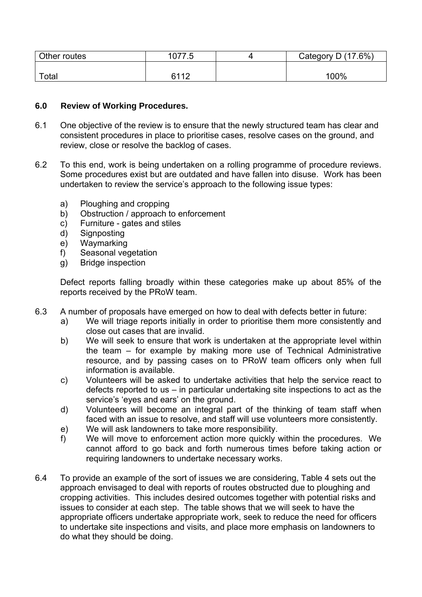| Other routes | 1077.5      | Category D (17.6%) |
|--------------|-------------|--------------------|
|              |             |                    |
| $\tau$ otal  | 6112<br>. . | 100%               |

#### **6.0 Review of Working Procedures.**

- 6.1 One objective of the review is to ensure that the newly structured team has clear and consistent procedures in place to prioritise cases, resolve cases on the ground, and review, close or resolve the backlog of cases.
- 6.2 To this end, work is being undertaken on a rolling programme of procedure reviews. Some procedures exist but are outdated and have fallen into disuse. Work has been undertaken to review the service's approach to the following issue types:
	- a) Ploughing and cropping
	- b) Obstruction / approach to enforcement
	- c) Furniture gates and stiles
	- d) Signposting
	- e) Waymarking
	- f) Seasonal vegetation
	- g) Bridge inspection

Defect reports falling broadly within these categories make up about 85% of the reports received by the PRoW team.

- 6.3 A number of proposals have emerged on how to deal with defects better in future:
	- a) We will triage reports initially in order to prioritise them more consistently and close out cases that are invalid.
	- b) We will seek to ensure that work is undertaken at the appropriate level within the team – for example by making more use of Technical Administrative resource, and by passing cases on to PRoW team officers only when full information is available.
	- c) Volunteers will be asked to undertake activities that help the service react to defects reported to us – in particular undertaking site inspections to act as the service's 'eyes and ears' on the ground.
	- d) Volunteers will become an integral part of the thinking of team staff when faced with an issue to resolve, and staff will use volunteers more consistently.
	- e) We will ask landowners to take more responsibility.
	- f) We will move to enforcement action more quickly within the procedures. We cannot afford to go back and forth numerous times before taking action or requiring landowners to undertake necessary works.
- 6.4 To provide an example of the sort of issues we are considering, Table 4 sets out the approach envisaged to deal with reports of routes obstructed due to ploughing and cropping activities. This includes desired outcomes together with potential risks and issues to consider at each step. The table shows that we will seek to have the appropriate officers undertake appropriate work, seek to reduce the need for officers to undertake site inspections and visits, and place more emphasis on landowners to do what they should be doing.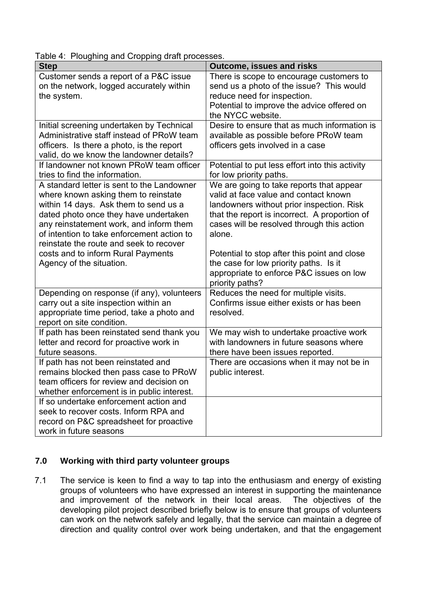Table 4: Ploughing and Cropping draft processes.

| . oagg and oropping drait proceeded<br><b>Step</b>                                                                                                                                                                                                                                                                                             | <b>Outcome, issues and risks</b>                                                                                                                                                                                                                                                        |
|------------------------------------------------------------------------------------------------------------------------------------------------------------------------------------------------------------------------------------------------------------------------------------------------------------------------------------------------|-----------------------------------------------------------------------------------------------------------------------------------------------------------------------------------------------------------------------------------------------------------------------------------------|
| Customer sends a report of a P&C issue<br>on the network, logged accurately within<br>the system.                                                                                                                                                                                                                                              | There is scope to encourage customers to<br>send us a photo of the issue? This would<br>reduce need for inspection.<br>Potential to improve the advice offered on<br>the NYCC website.                                                                                                  |
| Initial screening undertaken by Technical<br>Administrative staff instead of PRoW team<br>officers. Is there a photo, is the report<br>valid, do we know the landowner details?                                                                                                                                                                | Desire to ensure that as much information is<br>available as possible before PRoW team<br>officers gets involved in a case                                                                                                                                                              |
| If landowner not known PRoW team officer<br>tries to find the information.                                                                                                                                                                                                                                                                     | Potential to put less effort into this activity<br>for low priority paths.                                                                                                                                                                                                              |
| A standard letter is sent to the Landowner<br>where known asking them to reinstate<br>within 14 days. Ask them to send us a<br>dated photo once they have undertaken<br>any reinstatement work, and inform them<br>of intention to take enforcement action to<br>reinstate the route and seek to recover<br>costs and to inform Rural Payments | We are going to take reports that appear<br>valid at face value and contact known<br>landowners without prior inspection. Risk<br>that the report is incorrect. A proportion of<br>cases will be resolved through this action<br>alone.<br>Potential to stop after this point and close |
| Agency of the situation.                                                                                                                                                                                                                                                                                                                       | the case for low priority paths. Is it<br>appropriate to enforce P&C issues on low<br>priority paths?                                                                                                                                                                                   |
| Depending on response (if any), volunteers<br>carry out a site inspection within an<br>appropriate time period, take a photo and<br>report on site condition.                                                                                                                                                                                  | Reduces the need for multiple visits.<br>Confirms issue either exists or has been<br>resolved.                                                                                                                                                                                          |
| If path has been reinstated send thank you<br>letter and record for proactive work in<br>future seasons.                                                                                                                                                                                                                                       | We may wish to undertake proactive work<br>with landowners in future seasons where<br>there have been issues reported.                                                                                                                                                                  |
| If path has not been reinstated and<br>remains blocked then pass case to PRoW<br>team officers for review and decision on<br>whether enforcement is in public interest.                                                                                                                                                                        | There are occasions when it may not be in<br>public interest.                                                                                                                                                                                                                           |
| If so undertake enforcement action and<br>seek to recover costs. Inform RPA and<br>record on P&C spreadsheet for proactive<br>work in future seasons                                                                                                                                                                                           |                                                                                                                                                                                                                                                                                         |

## **7.0 Working with third party volunteer groups**

7.1 The service is keen to find a way to tap into the enthusiasm and energy of existing groups of volunteers who have expressed an interest in supporting the maintenance and improvement of the network in their local areas. The objectives of the developing pilot project described briefly below is to ensure that groups of volunteers can work on the network safely and legally, that the service can maintain a degree of direction and quality control over work being undertaken, and that the engagement